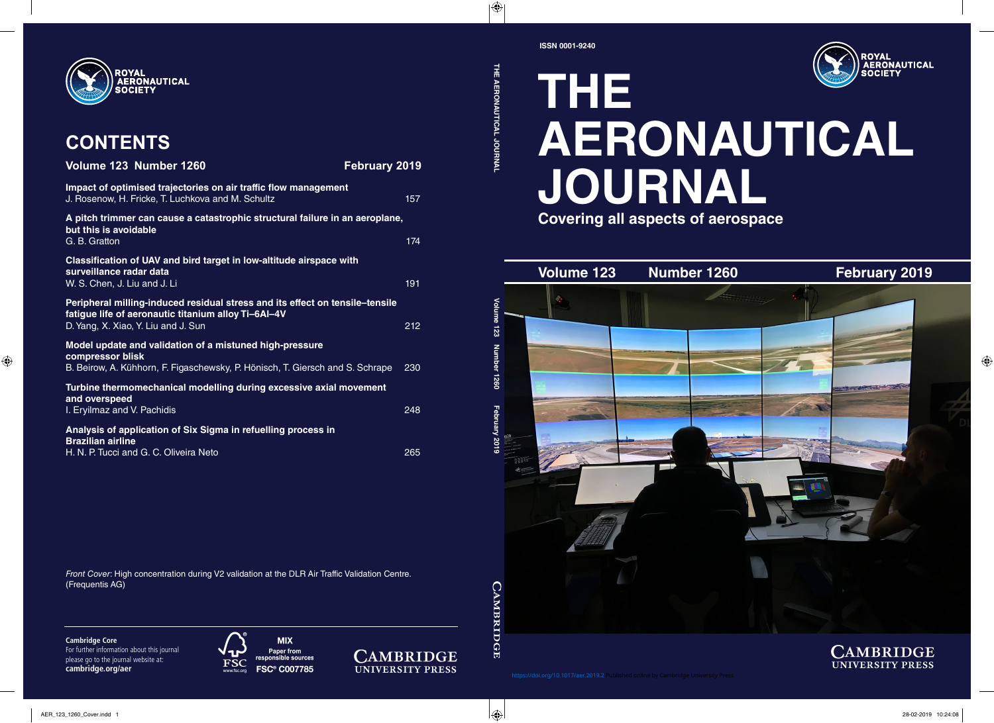

## **THE AERONAUTICAL JOURNAL Covering all aspects of aerospace**